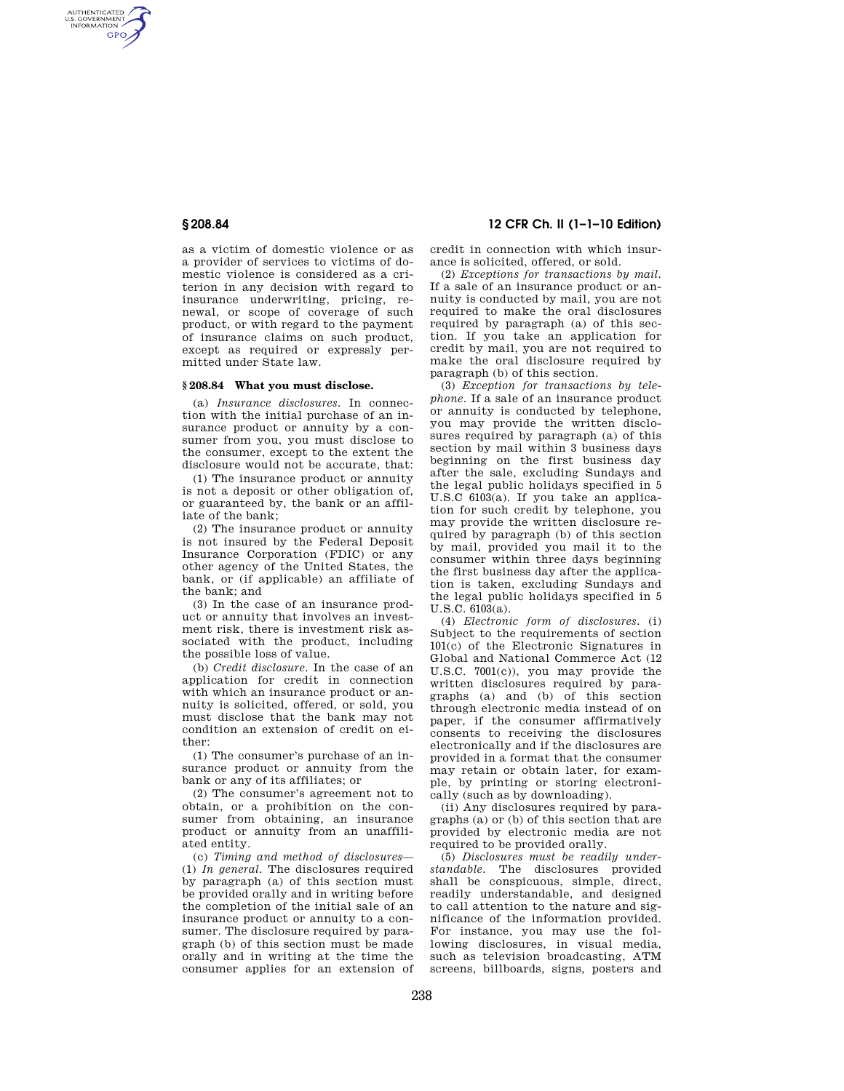AUTHENTICATED<br>U.S. GOVERNMENT<br>INFORMATION **GPO** 

> as a victim of domestic violence or as a provider of services to victims of domestic violence is considered as a criterion in any decision with regard to insurance underwriting, pricing, renewal, or scope of coverage of such product, or with regard to the payment of insurance claims on such product, except as required or expressly permitted under State law.

### **§ 208.84 What you must disclose.**

(a) *Insurance disclosures.* In connection with the initial purchase of an insurance product or annuity by a consumer from you, you must disclose to the consumer, except to the extent the disclosure would not be accurate, that:

(1) The insurance product or annuity is not a deposit or other obligation of, or guaranteed by, the bank or an affiliate of the bank;

(2) The insurance product or annuity is not insured by the Federal Deposit Insurance Corporation (FDIC) or any other agency of the United States, the bank, or (if applicable) an affiliate of the bank; and

(3) In the case of an insurance product or annuity that involves an investment risk, there is investment risk associated with the product, including the possible loss of value.

(b) *Credit disclosure.* In the case of an application for credit in connection with which an insurance product or annuity is solicited, offered, or sold, you must disclose that the bank may not condition an extension of credit on either:

(1) The consumer's purchase of an insurance product or annuity from the bank or any of its affiliates; or

(2) The consumer's agreement not to obtain, or a prohibition on the consumer from obtaining, an insurance product or annuity from an unaffiliated entity.

(c) *Timing and method of disclosures*— (1) *In general.* The disclosures required by paragraph (a) of this section must be provided orally and in writing before the completion of the initial sale of an insurance product or annuity to a consumer. The disclosure required by paragraph (b) of this section must be made orally and in writing at the time the consumer applies for an extension of

# **§ 208.84 12 CFR Ch. II (1–1–10 Edition)**

credit in connection with which insurance is solicited, offered, or sold.

(2) *Exceptions for transactions by mail.*  If a sale of an insurance product or annuity is conducted by mail, you are not required to make the oral disclosures required by paragraph (a) of this section. If you take an application for credit by mail, you are not required to make the oral disclosure required by paragraph (b) of this section.

(3) *Exception for transactions by telephone.* If a sale of an insurance product or annuity is conducted by telephone, you may provide the written disclosures required by paragraph (a) of this section by mail within 3 business days beginning on the first business day after the sale, excluding Sundays and the legal public holidays specified in 5 U.S.C 6103(a). If you take an application for such credit by telephone, you may provide the written disclosure required by paragraph (b) of this section by mail, provided you mail it to the consumer within three days beginning the first business day after the application is taken, excluding Sundays and the legal public holidays specified in 5 U.S.C. 6103(a).

(4) *Electronic form of disclosures.* (i) Subject to the requirements of section 101(c) of the Electronic Signatures in Global and National Commerce Act (12 U.S.C. 7001(c)), you may provide the written disclosures required by paragraphs (a) and (b) of this section through electronic media instead of on paper, if the consumer affirmatively consents to receiving the disclosures electronically and if the disclosures are provided in a format that the consumer may retain or obtain later, for example, by printing or storing electronically (such as by downloading).

(ii) Any disclosures required by paragraphs (a) or (b) of this section that are provided by electronic media are not required to be provided orally.

(5) *Disclosures must be readily understandable.* The disclosures provided shall be conspicuous, simple, direct, readily understandable, and designed to call attention to the nature and significance of the information provided. For instance, you may use the following disclosures, in visual media, such as television broadcasting, ATM screens, billboards, signs, posters and